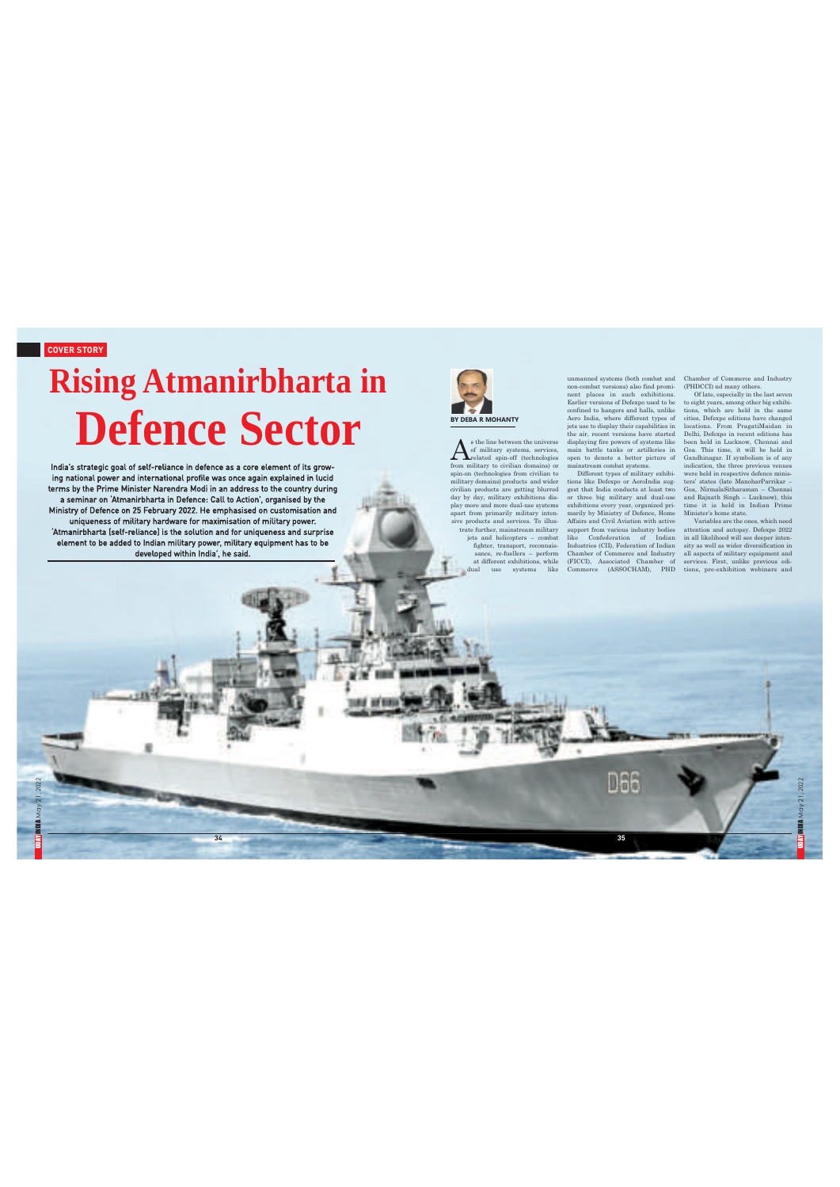UDINDIA May 21, 2022

# **Rising Atmanirbharta in Defence Sector BY BY BEA BY BEA R BY BEA BY BEA**

**34**

India's strategic goal of self-reliance in defence as a core element of its growing national power and international profile was once again explained in lucid<br>terms by the Prime Minister Narendra Modi in an address to the country during<br>a seminar on 'Atmanirbharta in Defence: Call to Action', organise 'Atmanirbharta (self-reliance) is the solution and for uniqueness and surprise element to be added to Indian military power, military equipment has to be developed within India', he said.



**Billian** 

**1994 BFRRR** 

 $\label{eq:optimal} \begin{minipage}{0.9\textwidth} \begin{minipage}{0.9\textwidth} \begin{minipage}{0.9\textwidth} \begin{minipage}{0.9\textwidth} \begin{minipage}{0.9\textwidth} \begin{minipage}{0.9\textwidth} \begin{minipage}{0.9\textwidth} \begin{minipage}{0.9\textwidth} \begin{minipage}{0.9\textwidth} \begin{minipage}{0.9\textwidth} \begin{minipage}{0.9\textwidth} \begin{minipage}{0.9\textwidth} \begin{minipage}{0.9\textwidth} \begin{minipage}{0.9\textwidth} \begin{minipage}{0.9\textwidth} \begin$ 

ummaned systems (both combat and<br>non-combat versions) also find prominaned systems (both combat versions) also find promin<br>ent places in such exhibitions Earlier versions of Defexpoused to be<br>the confined to hangers and h

**35**

**D66** 

Chamber of Commerce and Industry<br>(PHDCCI) ad many others.<br>
CPIDCCI) ad many others.<br>
OFIde, especially in the last severe is<br>
to eight years, among other big exhibitions are biginal in the same<br>
torica, Defsepo editions h

UDAY INDIA May 21, 2022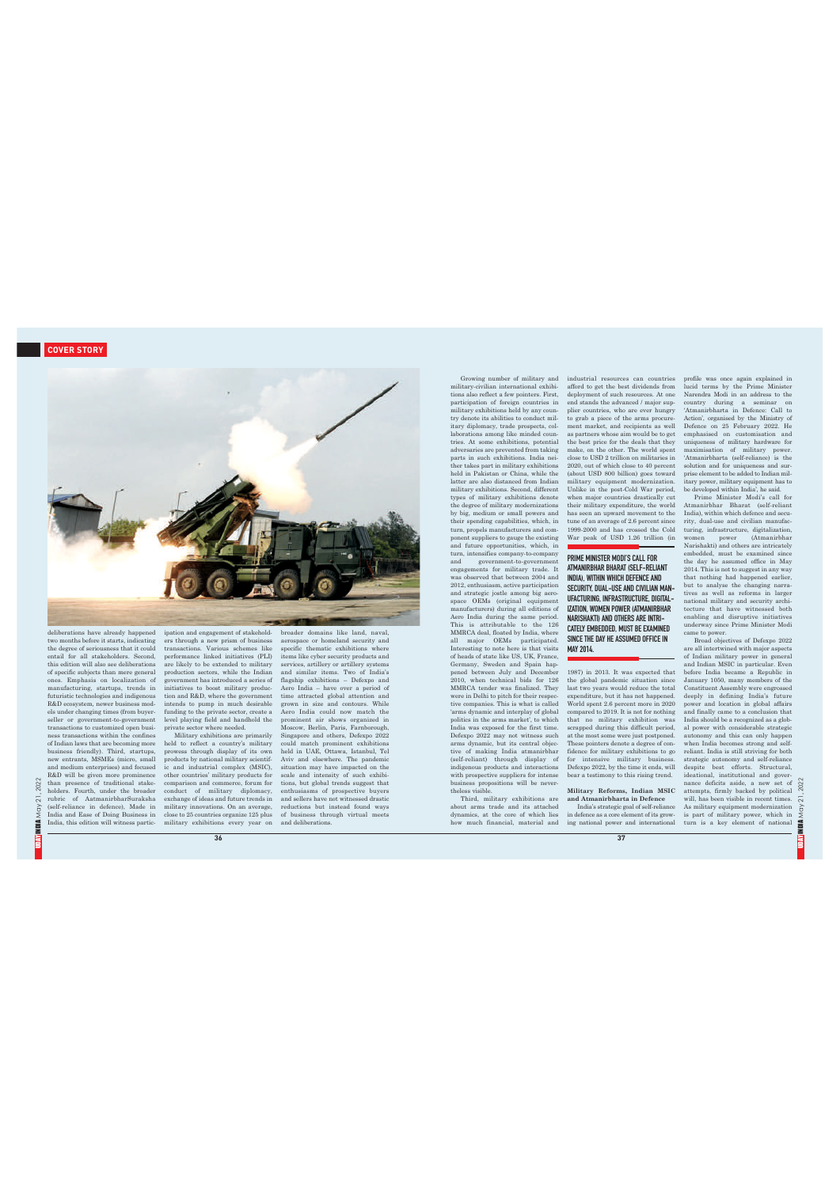

deliberations have already happened<br>to the momental phappendical relations have a measure two months before it starts, indicating<br>the degree of seronoaness that it could this edition will also see deliberations<br>are the di

UDA**Y INDIA** May 21, 2022

È

2022  $21,$ yoy **MBIA** 

ipation and engagement of stakehold<br>prainting incominations are ers through a new prism of business<br>transactions. Various schemes like performance linked initiatives (PLI)<br>are are likely to be extended to military product

**36**

broader domains like land, naval, naval, naval, naval, naval, naval, navalesné acervisy salementic exhibitions where<br>tears like cyber security products and specific the<br>matic exhibitions where services, artillery or artil

Growing number of military and<br>military-sivilian international exhibitions, also relicing a military<br>civilian international exhibitions participation of foreign countries in<br>military exhibitions belong participation of fo

about arms trade and its attached dynamics, at the core of which lies how much financial, material and

industrial resources can courtries<br>finduction and the finduction function and find to get the best dividends from<br>eigeloyment of such resources. At one end stands the advanced  $t$  major super countries, who are ever hungr

PRIME MINISTER MODI'S CALL FOR ATMANIRBHAR BHARAT (SELF-RELIANT INDIA), WITHIN WHICH DEFENCE AND SECURITY, DUAL-USE AND CIVILIAN MAN-UFACTURING, INFRASTRUCTURE, DIGITAL-IZATION, WOMEN POWER (ATMANIRBHAR NARISHAKTI) AND OTHERS AREINTRI-

MAY 2014.

## CATELY EMBEDDED, MUST BE EXAMINED SINCE THE DAY HE ASSUMED OFFICE IN

1987) in 2013. It was expected that<br>the global pandemic situation since the global pandemic situation since<br>ast two years would reduce the total expenditure, but it has not happened<br>dompared to 2019. It is not for orbitin

Military Reforms, Indian MSIC<br>and Atmanirbharta in Defence<br>India's strategic goal of self-reliance<br>in defence as a core element of its grow-<br>ing national power and international

**37**

profile was once again explained in the<br>dictation and cheated in the average and explaint and a decession the<br>Narod terms by the Prime Ministers of the Narodrity during a seminar on<br>Country during a seminar on Atmanir<br>bha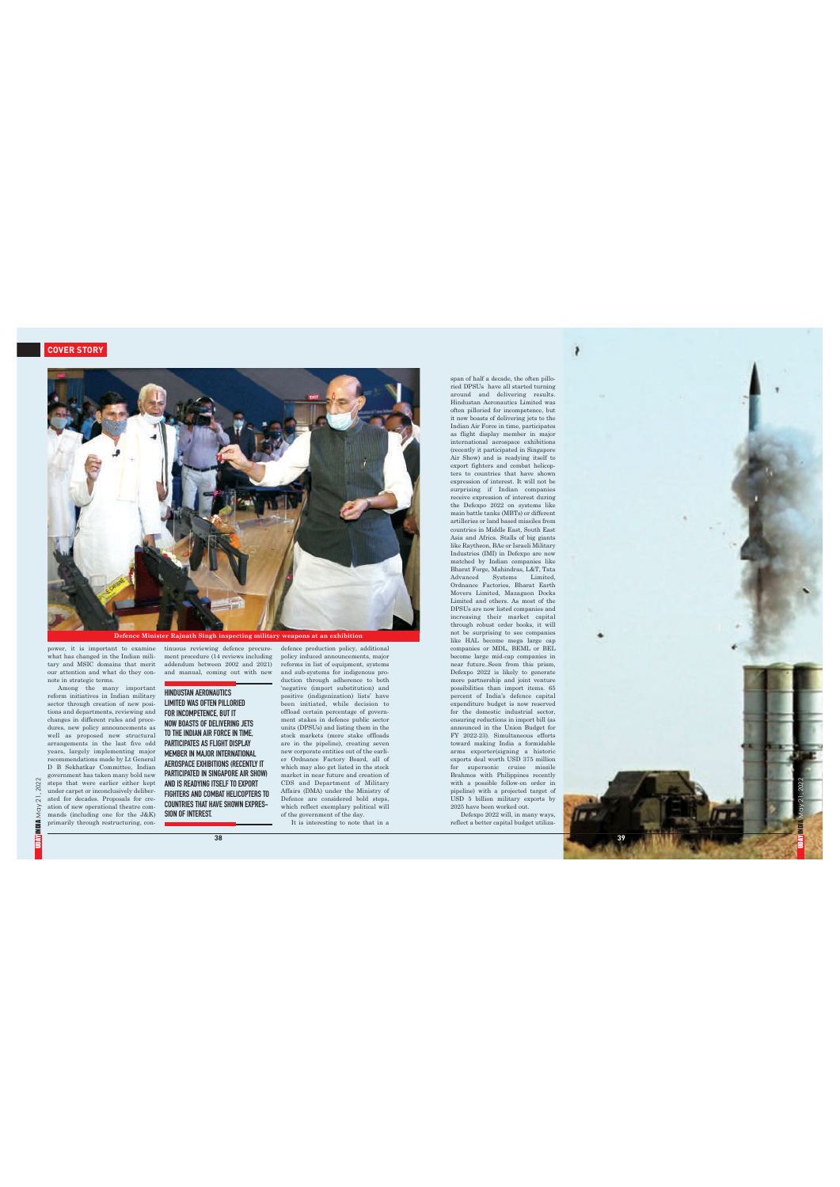

power, it is important to examine<br>what has changed in the Indian military and MSIC domains that meniture<br>and MSIC domains that meniture in the Indian military and MSIC domains that meniture<br>in the mary important of new pos

tinuous reviewing defence procure-<br>ment procedure (14 reviews including<br>addendum between 2002 and 2021)<br>and manual, coming out with new

HINDUSTAN AERONAUTICS LIMITED WAS OFTEN PILLORIED FOR INCOMPETENCE, BUT IT , NOW BOASTS OF DELIVERING JETS TO THE INDIAN AIR FORCE IN TIME , PARTICIPATES AS FLIGHT DISPLAY MEMBER IN MAJOR INTERNATIONAL AEROSPACE EXHIBITIONS (RECENTLY IT PARTICIPATED IN SINGAPORE AIR SHOW) AND IS READYING ITSELF TO EXPORT FIGHTERS AND COMBAT HELICOPTERS TO COUNTRIES THAT HAVE SHOWN EXPRES-SION OF INTEREST.

**3 8**

defence production policy, additional<br>policy induced announcements, major<br>policy induced announcements, major<br>policy induced announcements, major<br>and sub-systems for indigenous pro-<br>decision through adherence to both<br>posi

ï

span of half a decade, the of<br>the pillo pinar pinar pinar pinar of the DPSUs have all started turning results.<br>In the dDFSUs have all started turning results the momentence, but move<br>bases of deluvering results the the mo



2022  $21,$